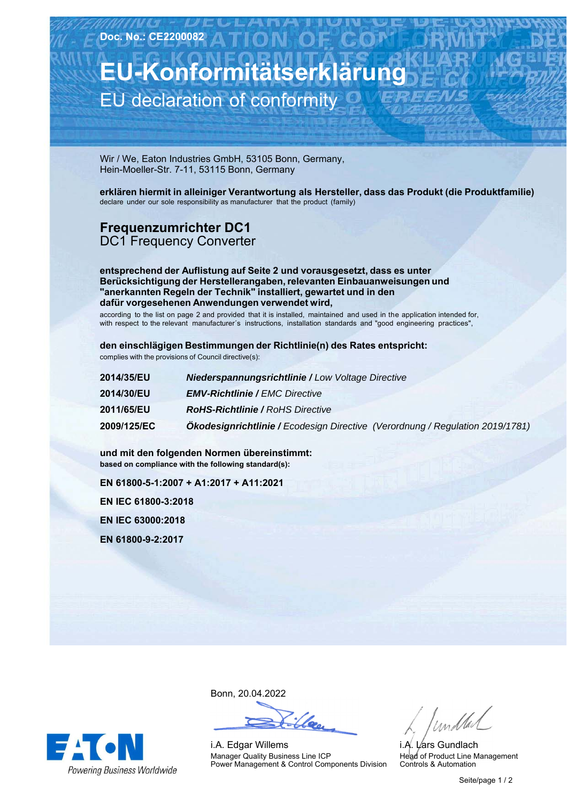**EU-Konformitätserklärung** EU declaration of conformity

Wir / We, Eaton Industries GmbH, 53105 Bonn, Germany, Hein-Moeller-Str. 7-11, 53115 Bonn, Germany

**erklären hiermit in alleiniger Verantwortung als Hersteller, dass das Produkt (die Produktfamilie)** declare under our sole responsibility as manufacturer that the product (family)

## **Frequenzumrichter-DC1** DC1 Frequency Converter

**entsprechend der Auflistung auf Seite 2 und vorausgesetzt, dass es unter Berücksichtigung der Herstellerangaben, relevanten Einbauanweisungen und "anerkannten Regeln der Technik" installiert, gewartet und in den dafür vorgesehenen Anwendungen verwendet wird,**

according to the list on page 2 and provided that it is installed, maintained and used in the application intended for, with respect to the relevant manufacturer´s instructions, installation standards and "good engineering practices",

**den einschlägigen Bestimmungen der Richtlinie(n) des Rates entspricht:** complies with the provisions of Council directive(s):

| 2014/35/EU  | <b>Niederspannungsrichtlinie / Low Voltage Directive</b>                      |
|-------------|-------------------------------------------------------------------------------|
| 2014/30/EU  | <b>EMV-Richtlinie / EMC Directive</b>                                         |
| 2011/65/EU  | <b>RoHS-Richtlinie / RoHS Directive</b>                                       |
| 2009/125/EC | Ökodesignrichtlinie / Ecodesign Directive (Verordnung / Regulation 2019/1781) |

**und-mit-den-folgenden-Normen-übereinstimmt: based on compliance with the following standard(s):** 

**EN-61800-5-1:2007-+-A1:2017-+-A11:2021**

**EN-IEC-61800-3:2018**

**EN-IEC-63000:2018**

**EN-61800-9-2:2017**

**EA ON Powering Business Worldwide**  Bonn,-20.04.2022

i.A. Edgar Willems Manager Quality Business Line ICP Power Management & Control Components Division

/ und tal

i.A. L⁄ars Gundlach Head of Product Line Management Controls & Automation